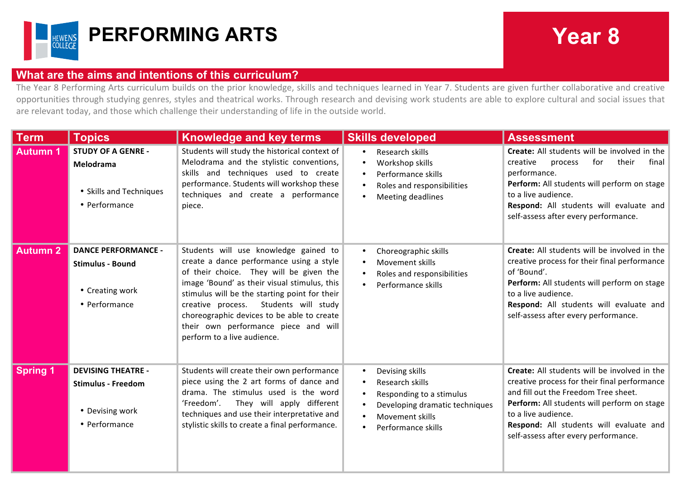

## **PERFORMING ARTS Year 8**

## **What are the aims and intentions of this curriculum?**

The Year 8 Performing Arts curriculum builds on the prior knowledge, skills and techniques learned in Year 7. Students are given further collaborative and creative opportunities through studying genres, styles and theatrical works. Through research and devising work students are able to explore cultural and social issues that are relevant today, and those which challenge their understanding of life in the outside world.

| <b>Term</b>     | <b>Topics</b>                                                                              | <b>Knowledge and key terms</b>                                                                                                                                                                                                                                                                                                                                                                 | <b>Skills developed</b>                                                                                                                   | <b>Assessment</b>                                                                                                                                                                                                                                                                             |
|-----------------|--------------------------------------------------------------------------------------------|------------------------------------------------------------------------------------------------------------------------------------------------------------------------------------------------------------------------------------------------------------------------------------------------------------------------------------------------------------------------------------------------|-------------------------------------------------------------------------------------------------------------------------------------------|-----------------------------------------------------------------------------------------------------------------------------------------------------------------------------------------------------------------------------------------------------------------------------------------------|
| <b>Autumn 1</b> | <b>STUDY OF A GENRE -</b><br>Melodrama<br>• Skills and Techniques<br>• Performance         | Students will study the historical context of<br>Melodrama and the stylistic conventions,<br>skills and techniques used to create<br>performance. Students will workshop these<br>techniques and create a performance<br>piece.                                                                                                                                                                | Research skills<br>Workshop skills<br>Performance skills<br>Roles and responsibilities<br>Meeting deadlines                               | Create: All students will be involved in the<br>for<br>creative<br>their<br>final<br>process<br>performance.<br>Perform: All students will perform on stage<br>to a live audience.<br>Respond: All students will evaluate and<br>self-assess after every performance.                         |
| <b>Autumn 2</b> | <b>DANCE PERFORMANCE -</b><br><b>Stimulus - Bound</b><br>• Creating work<br>• Performance  | Students will use knowledge gained to<br>create a dance performance using a style<br>of their choice. They will be given the<br>image 'Bound' as their visual stimulus, this<br>stimulus will be the starting point for their<br>creative process.<br>Students will study<br>choreographic devices to be able to create<br>their own performance piece and will<br>perform to a live audience. | Choreographic skills<br><b>Movement skills</b><br>Roles and responsibilities<br>Performance skills                                        | Create: All students will be involved in the<br>creative process for their final performance<br>of 'Bound'.<br>Perform: All students will perform on stage<br>to a live audience.<br>Respond: All students will evaluate and<br>self-assess after every performance.                          |
| <b>Spring 1</b> | <b>DEVISING THEATRE -</b><br><b>Stimulus - Freedom</b><br>• Devising work<br>• Performance | Students will create their own performance<br>piece using the 2 art forms of dance and<br>drama. The stimulus used is the word<br>They will apply different<br>'Freedom'.<br>techniques and use their interpretative and<br>stylistic skills to create a final performance.                                                                                                                    | Devising skills<br>Research skills<br>Responding to a stimulus<br>Developing dramatic techniques<br>Movement skills<br>Performance skills | Create: All students will be involved in the<br>creative process for their final performance<br>and fill out the Freedom Tree sheet.<br>Perform: All students will perform on stage<br>to a live audience.<br>Respond: All students will evaluate and<br>self-assess after every performance. |